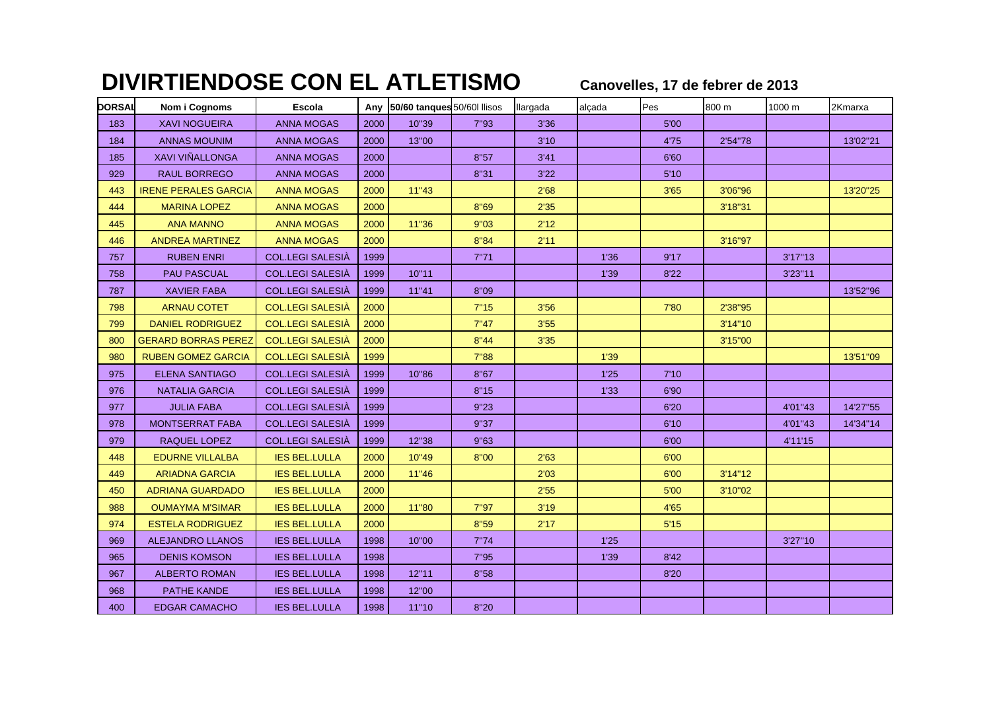## **DIVIRTIENDOSE CON EL ATLETISMO**

**Canovelles, 17 de febrer de 2013**

| <b>DORSAL</b> | Nom i Cognoms               | <b>Escola</b>           |      | Any 50/60 tanques 50/60l llisos |       | llargada | alçada | Pes  | 800 m   | 1000 m  | 2Kmarxa  |
|---------------|-----------------------------|-------------------------|------|---------------------------------|-------|----------|--------|------|---------|---------|----------|
| 183           | <b>XAVI NOGUEIRA</b>        | <b>ANNA MOGAS</b>       | 2000 | 10"39                           | 7"93  | 3'36     |        | 5'00 |         |         |          |
| 184           | <b>ANNAS MOUNIM</b>         | <b>ANNA MOGAS</b>       | 2000 | 13"00                           |       | 3'10     |        | 4'75 | 2'54"78 |         | 13'02"21 |
| 185           | <b>XAVI VIÑALLONGA</b>      | <b>ANNA MOGAS</b>       | 2000 |                                 | 8"57  | 3'41     |        | 6'60 |         |         |          |
| 929           | <b>RAUL BORREGO</b>         | <b>ANNA MOGAS</b>       | 2000 |                                 | 8"31  | 3'22     |        | 5'10 |         |         |          |
| 443           | <b>IRENE PERALES GARCIA</b> | <b>ANNA MOGAS</b>       | 2000 | 11"43                           |       | 2'68     |        | 3'65 | 3'06"96 |         | 13'20"25 |
| 444           | <b>MARINA LOPEZ</b>         | <b>ANNA MOGAS</b>       | 2000 |                                 | 8"69  | 2'35     |        |      | 3'18"31 |         |          |
| 445           | <b>ANA MANNO</b>            | <b>ANNA MOGAS</b>       | 2000 | 11"36                           | 9"03  | 2'12     |        |      |         |         |          |
| 446           | <b>ANDREA MARTINEZ</b>      | <b>ANNA MOGAS</b>       | 2000 |                                 | 8"84  | 2'11     |        |      | 3'16"97 |         |          |
| 757           | <b>RUBEN ENRI</b>           | <b>COL.LEGI SALESIA</b> | 1999 |                                 | 7"71  |          | 1'36   | 9'17 |         | 3'17"13 |          |
| 758           | <b>PAU PASCUAL</b>          | <b>COL.LEGI SALESIÀ</b> | 1999 | 10"11                           |       |          | 1'39   | 8'22 |         | 3'23"11 |          |
| 787           | <b>XAVIER FABA</b>          | COL.LEGI SALESIÀ        | 1999 | 11"41                           | 8"09  |          |        |      |         |         | 13'52"96 |
| 798           | <b>ARNAU COTET</b>          | <b>COL.LEGI SALESIÀ</b> | 2000 |                                 | 7"15  | 3'56     |        | 7'80 | 2'38"95 |         |          |
| 799           | <b>DANIEL RODRIGUEZ</b>     | <b>COL.LEGI SALESIÀ</b> | 2000 |                                 | 7"47  | 3'55     |        |      | 3'14"10 |         |          |
| 800           | <b>GERARD BORRAS PEREZ</b>  | <b>COL.LEGI SALESIÀ</b> | 2000 |                                 | 8''44 | 3'35     |        |      | 3'15"00 |         |          |
| 980           | <b>RUBEN GOMEZ GARCIA</b>   | <b>COL.LEGI SALESIÀ</b> | 1999 |                                 | 7"88  |          | 1'39   |      |         |         | 13'51"09 |
| 975           | <b>ELENA SANTIAGO</b>       | <b>COL.LEGI SALESIÀ</b> | 1999 | 10"86                           | 8"67  |          | 1'25   | 7'10 |         |         |          |
| 976           | <b>NATALIA GARCIA</b>       | <b>COL.LEGI SALESIÀ</b> | 1999 |                                 | 8"15  |          | 1'33   | 6'90 |         |         |          |
| 977           | <b>JULIA FABA</b>           | <b>COL.LEGI SALESIÀ</b> | 1999 |                                 | 9"23  |          |        | 6'20 |         | 4'01"43 | 14'27"55 |
| 978           | <b>MONTSERRAT FABA</b>      | <b>COL.LEGI SALESIÀ</b> | 1999 |                                 | 9"37  |          |        | 6'10 |         | 4'01"43 | 14'34"14 |
| 979           | <b>RAQUEL LOPEZ</b>         | <b>COL.LEGI SALESIÀ</b> | 1999 | 12"38                           | 9"63  |          |        | 6'00 |         | 4'11'15 |          |
| 448           | <b>EDURNE VILLALBA</b>      | <b>IES BEL.LULLA</b>    | 2000 | 10"49                           | 8"00  | 2'63     |        | 6'00 |         |         |          |
| 449           | <b>ARIADNA GARCIA</b>       | <b>IES BEL.LULLA</b>    | 2000 | 11"46                           |       | 2'03     |        | 6'00 | 3'14"12 |         |          |
| 450           | <b>ADRIANA GUARDADO</b>     | <b>IES BEL.LULLA</b>    | 2000 |                                 |       | 2'55     |        | 5'00 | 3'10"02 |         |          |
| 988           | <b>OUMAYMA M'SIMAR</b>      | <b>IES BEL.LULLA</b>    | 2000 | 11"80                           | 7"97  | 3'19     |        | 4'65 |         |         |          |
| 974           | <b>ESTELA RODRIGUEZ</b>     | <b>IES BEL.LULLA</b>    | 2000 |                                 | 8"59  | 2'17     |        | 5'15 |         |         |          |
| 969           | <b>ALEJANDRO LLANOS</b>     | <b>IES BEL.LULLA</b>    | 1998 | 10"00                           | 7"74  |          | 1'25   |      |         | 3'27"10 |          |
| 965           | <b>DENIS KOMSON</b>         | <b>IES BEL.LULLA</b>    | 1998 |                                 | 7"95  |          | 1'39   | 8'42 |         |         |          |
| 967           | <b>ALBERTO ROMAN</b>        | <b>IES BEL.LULLA</b>    | 1998 | 12"11                           | 8"58  |          |        | 8'20 |         |         |          |
| 968           | PATHE KANDE                 | <b>IES BEL.LULLA</b>    | 1998 | 12"00                           |       |          |        |      |         |         |          |
| 400           | <b>EDGAR CAMACHO</b>        | <b>IES BEL.LULLA</b>    | 1998 | 11"10                           | 8"20  |          |        |      |         |         |          |